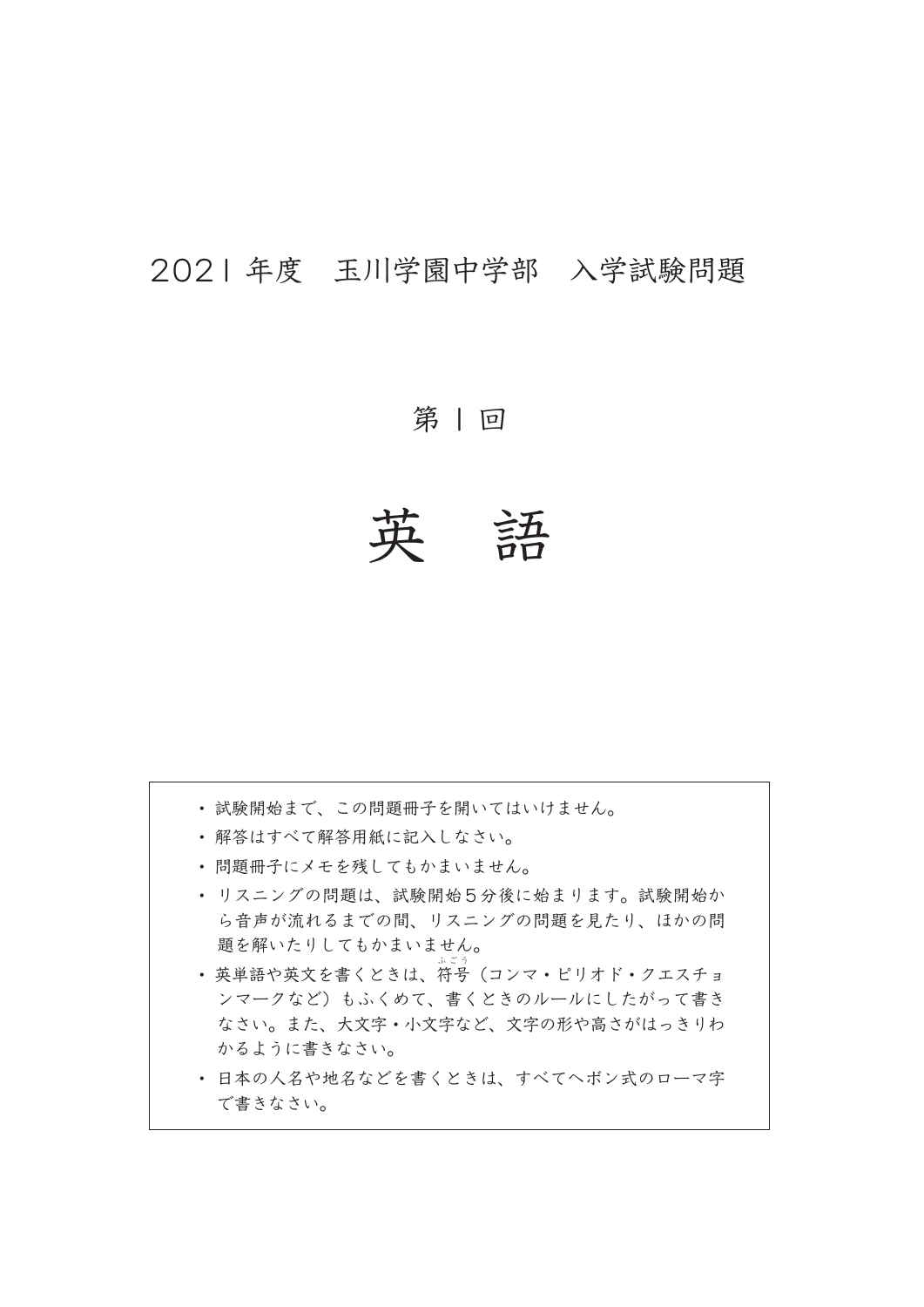## 2021 年度 玉川学園中学部 入学試験問題

第1回

英 語

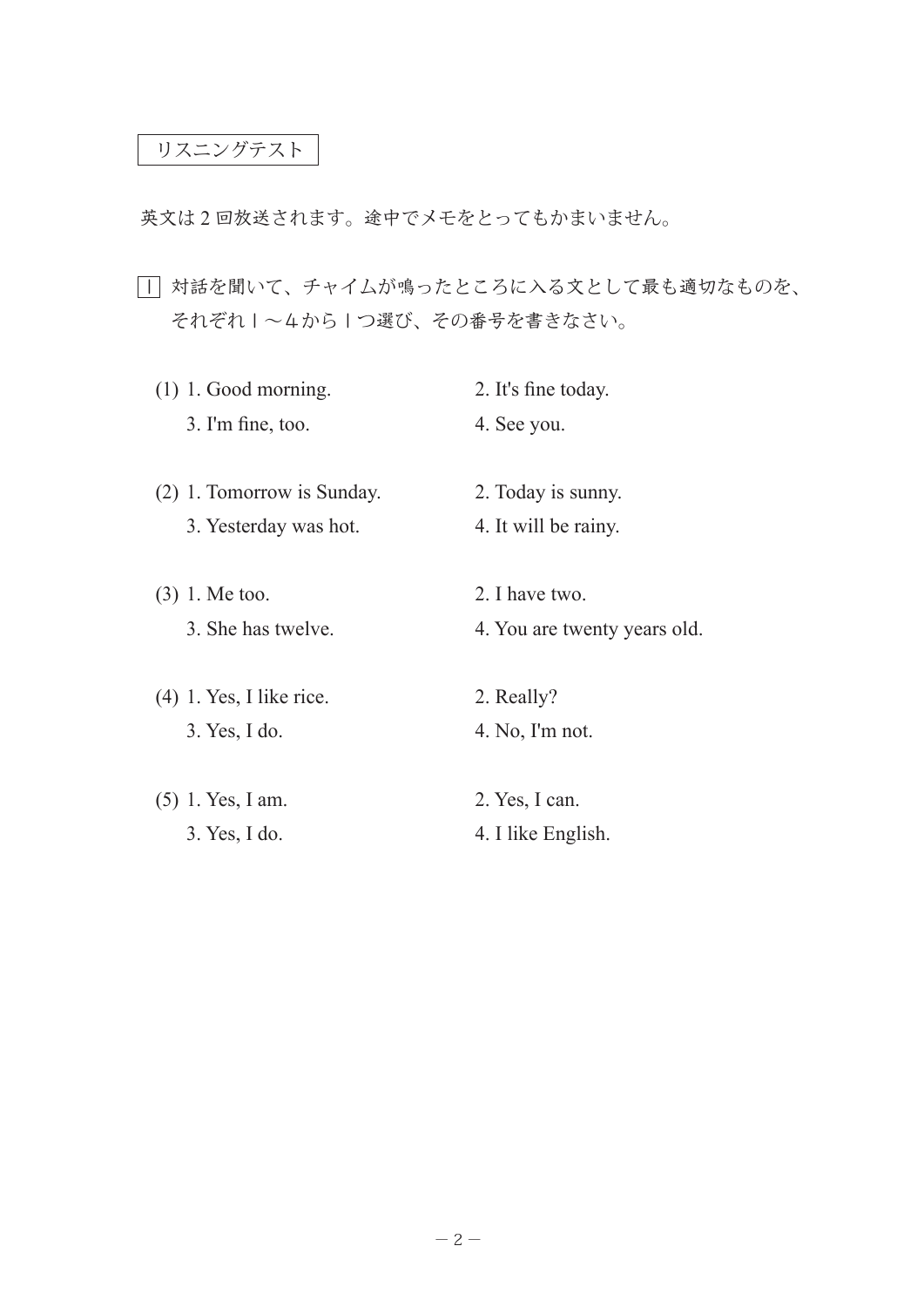## リスニングテスト

英文は 2 回放送されます。途中でメモをとってもかまいません。

1 対話を聞いて、チャイムが鳴ったところに入る文として最も適切なものを、 それぞれ1~4から1つ選び、その番号を書きなさい。

| $(1)$ 1. Good morning.     | 2. It's fine today.          |
|----------------------------|------------------------------|
| $3.$ I'm fine, too.        | 4. See you.                  |
|                            |                              |
| (2) 1. Tomorrow is Sunday. | 2. Today is sunny.           |
| 3. Yesterday was hot.      | 4. It will be rainy.         |
|                            |                              |
| $(3)$ 1. Me too.           | 2. I have two.               |
| 3. She has twelve.         | 4. You are twenty years old. |
|                            |                              |
| $(4)$ 1. Yes, I like rice. | 2. Really?                   |
| 3. Yes, I do.              | 4. No, I'm not.              |
|                            |                              |
| $(5)$ 1. Yes, I am.        | 2. Yes, I can.               |
| 3. Yes, I do.              | 4. I like English.           |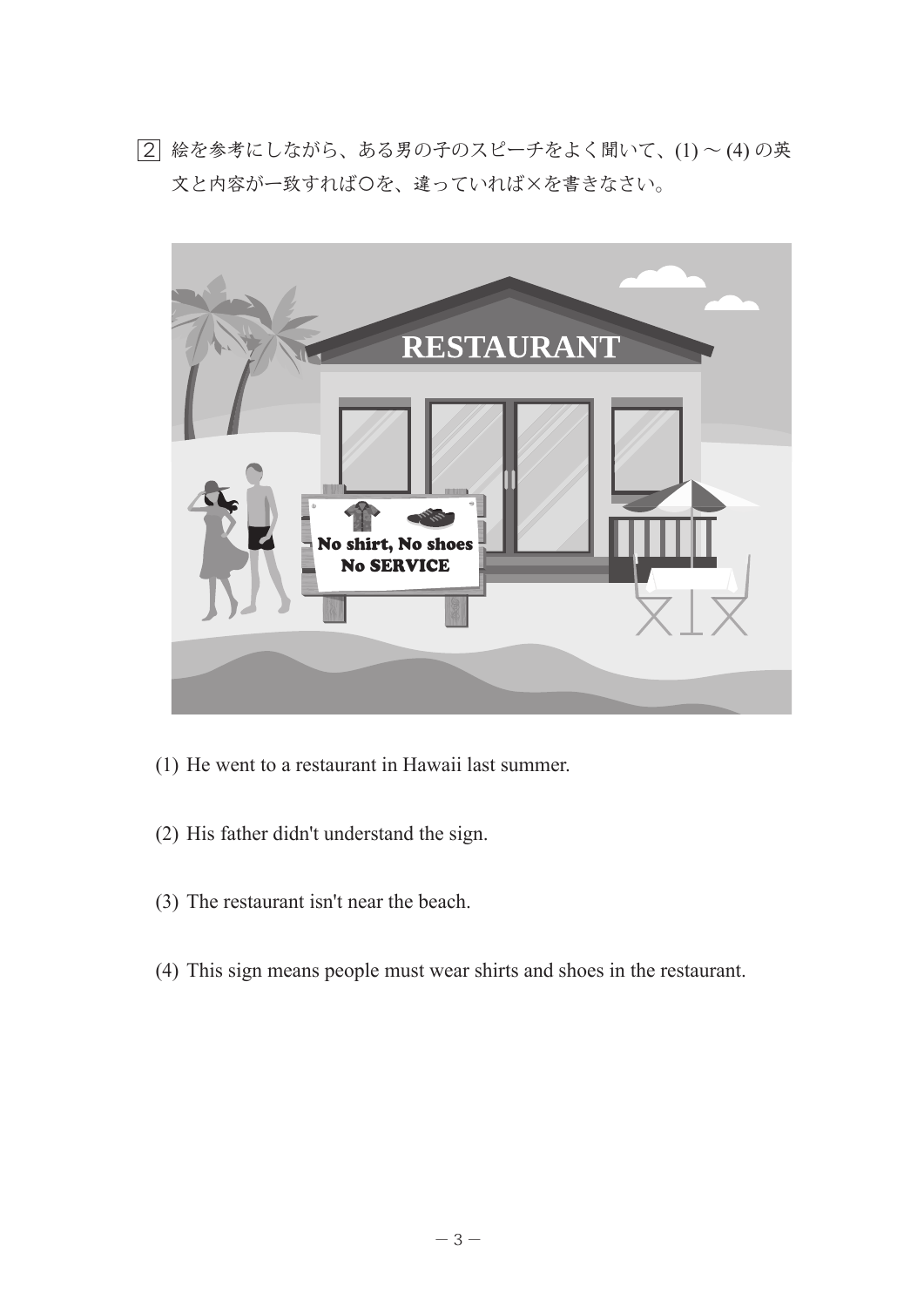2 絵を参考にしながら、ある男の子のスピーチをよく聞いて、(1) ~ (4) の英 文と内容が一致すれば〇を、違っていれば×を書きなさい。



- (1) He went to a restaurant in Hawaii last summer.
- (2) His father didn't understand the sign.
- (3) The restaurant isn't near the beach.
- (4) This sign means people must wear shirts and shoes in the restaurant.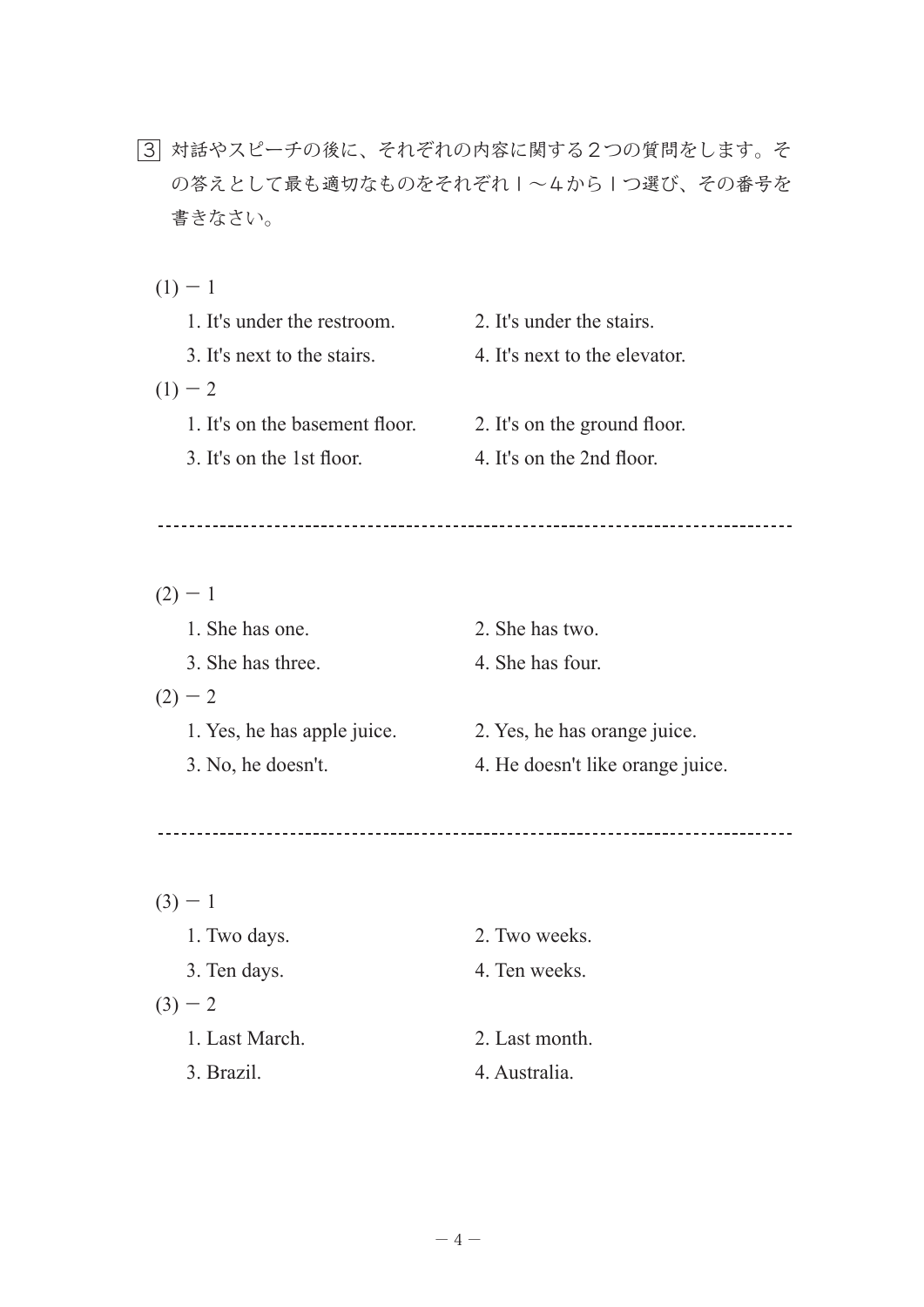- 3 対話やスピーチの後に、それぞれの内容に関する2つの質問をします。そ の答えとして最も適切なものをそれぞれ1~4から1つ選び、その番号を 書きなさい。
	- $(1) 1$

| 1. It's under the restroom.    | 2. It's under the stairs.     |
|--------------------------------|-------------------------------|
| 3. It's next to the stairs.    | 4. It's next to the elevator. |
| $(1) - 2$                      |                               |
| 1. It's on the basement floor. | 2. It's on the ground floor.  |
| 3. It's on the 1st floor.      | 4. It's on the 2nd floor.     |

| $-1$                        |                                  |
|-----------------------------|----------------------------------|
| 1. She has one.             | 2. She has two.                  |
| 3. She has three.           | 4. She has four.                 |
| $(2) - 2$                   |                                  |
| 1. Yes, he has apple juice. | 2. Yes, he has orange juice.     |
| 3. No, he doesn't.          | 4. He doesn't like orange juice. |
|                             |                                  |

| $(3) - 1$      |                |
|----------------|----------------|
| 1. Two days.   | 2. Two weeks.  |
| 3. Ten days.   | 4. Ten weeks.  |
| $(3) - 2$      |                |
| 1. Last March. | 2. Last month. |
| 3. Brazil.     | 4. Australia.  |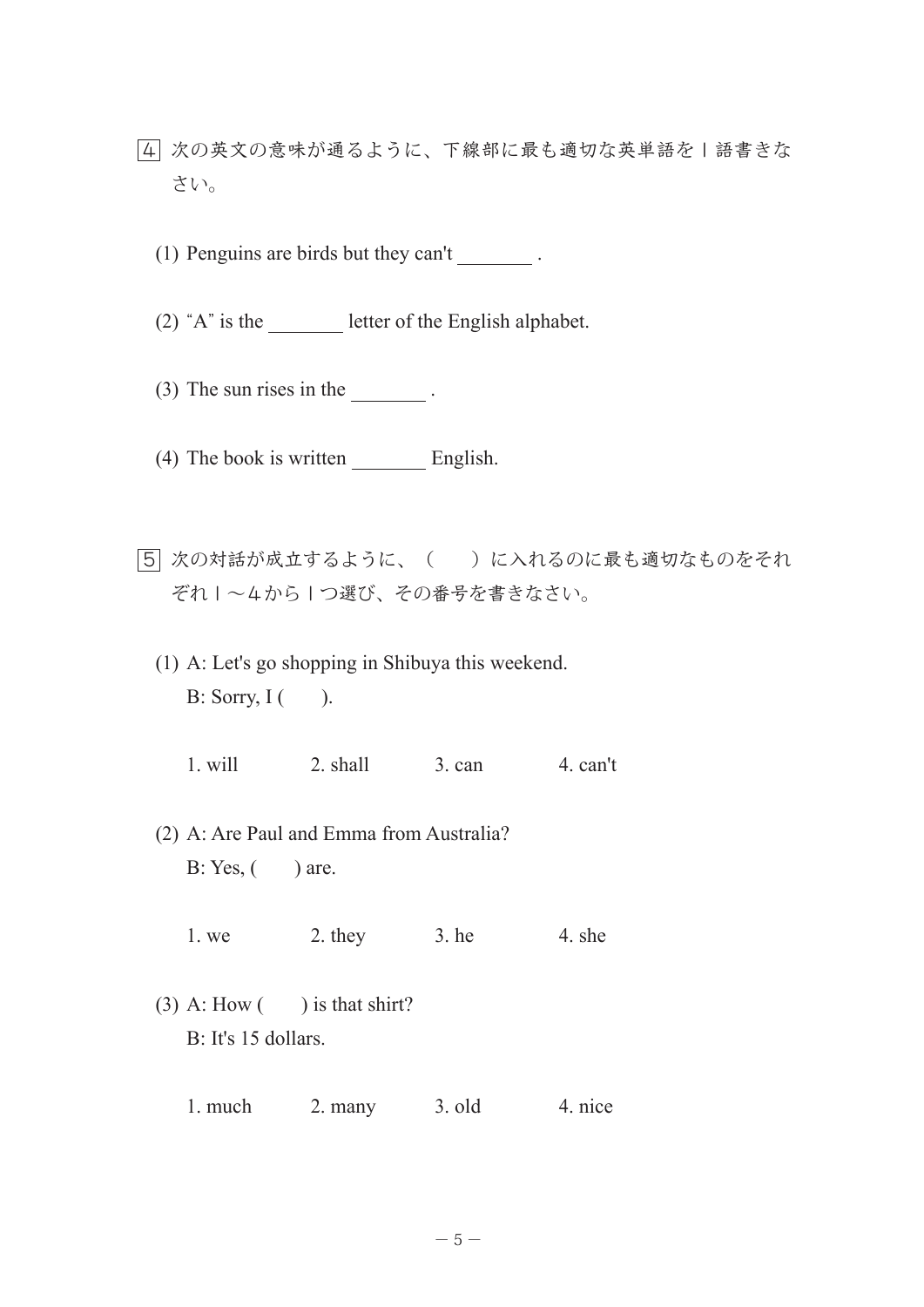- 4 次の英文の意味が通るように、下線部に最も適切な英単語を1語書きな さい。
	- (1) Penguins are birds but they can't .
	- (2)  $^{\circ}$ A" is the letter of the English alphabet.
	- $(3)$  The sun rises in the  $(3)$ .
	- (4) The book is written English.
- 5 次の対話が成立するように、( )に入れるのに最も適切なものをそれ ぞれ1~4から1つ選び、その番号を書きなさい。
	- (1) A: Let's go shopping in Shibuya this weekend. B: Sorry,  $I($ ).
		- 1. will 2. shall 3. can 4. can't
	- (2) A: Are Paul and Emma from Australia?  $B: Yes, ($  are.
		- 1. we  $2.$  they  $3.$  he  $4.$  she
	- (3) A: How  $($ ) is that shirt? B: It's 15 dollars.
		- 1. much 2. many 3. old 4. nice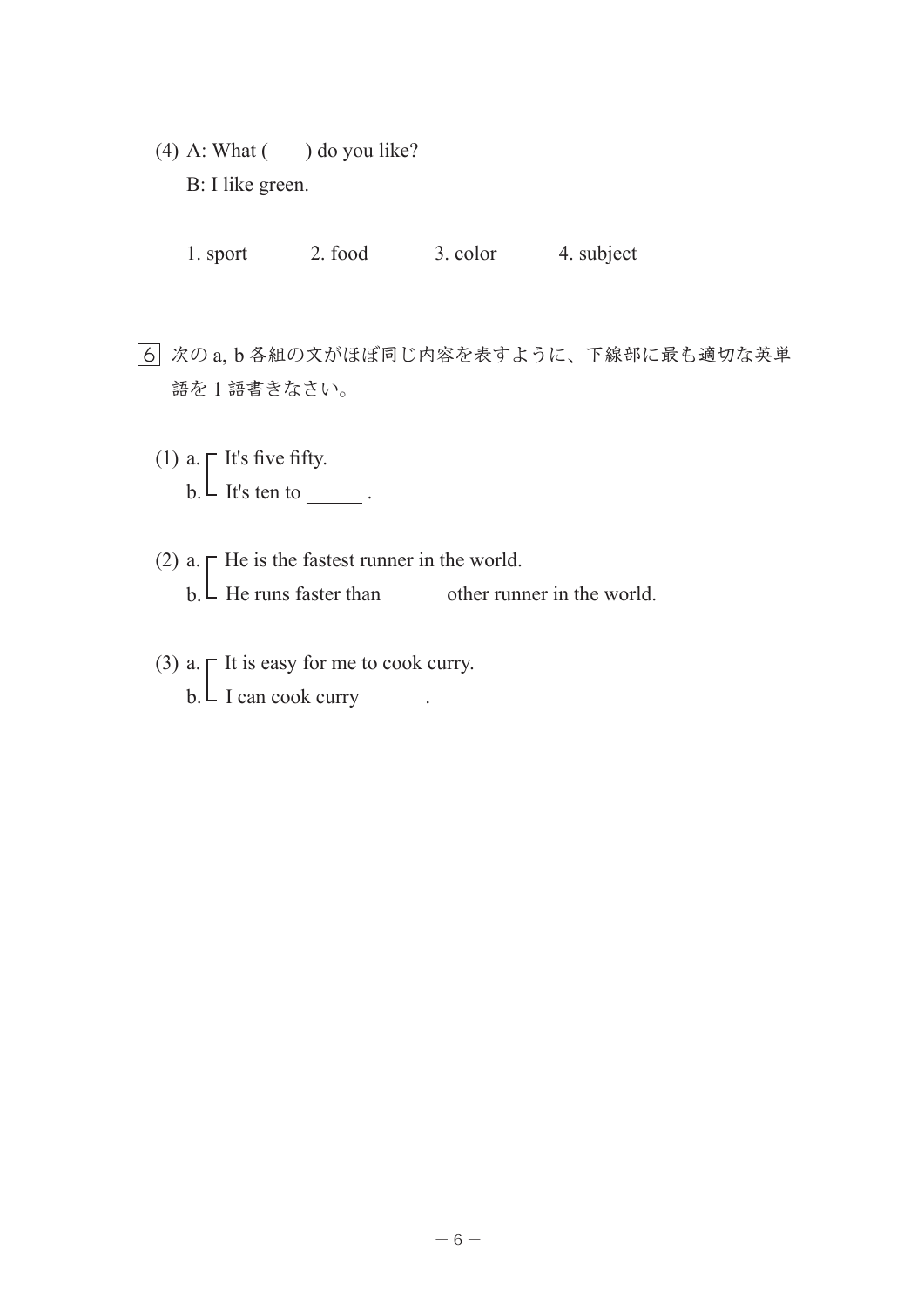- (4) A: What  $($   $)$  do you like? B: I like green.
	- 1. sport 2. food 3. color 4. subject
- 6 次の a, b 各組の文がほぼ同じ内容を表すように、下線部に最も適切な英単 語を1語書きなさい。
	- (1) a.  $\Gamma$  It's five fifty.  $b. \perp$  It's ten to \_\_\_\_\_\_\_.
	- (2) a.  $\Gamma$  He is the fastest runner in the world.  $b. \perp$  He runs faster than \_\_\_\_\_\_\_ other runner in the world.
	- (3) a.  $\Gamma$  It is easy for me to cook curry.  $b. \perp$  I can cook curry \_\_\_\_\_\_.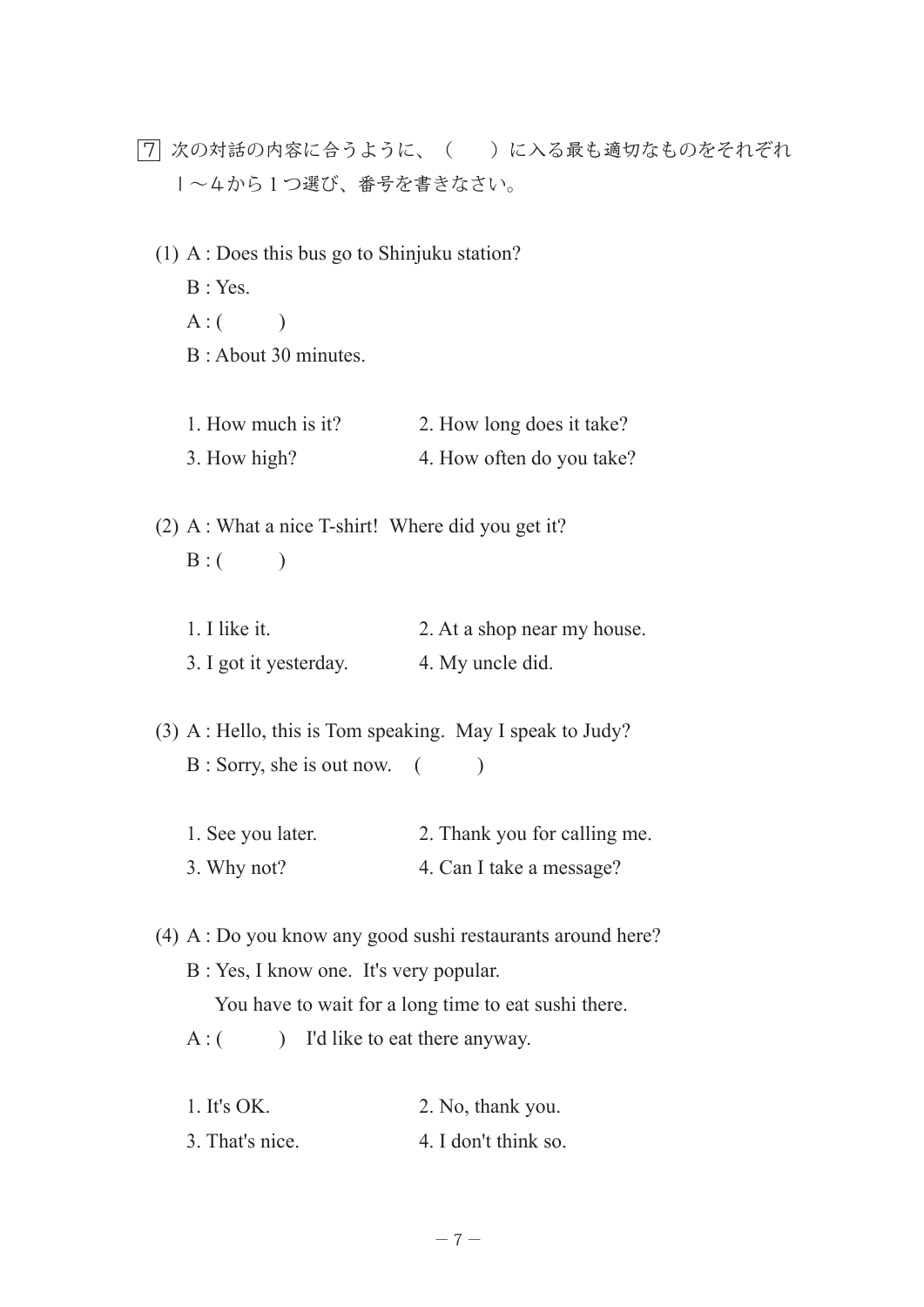- 7 次の対話の内容に合うように、( )に入る最も適切なものをそれぞれ 1~4から 1 つ選び、番号を書きなさい。
	- (1) A : Does this bus go to Shinjuku station?
		- B : Yes.
		- $A: ($   $)$
		- B : About 30 minutes.
		- 1. How much is it? 2. How long does it take? 3. How high? 4. How often do you take?
	- (2) A : What a nice T-shirt! Where did you get it?  $B: ($  )
		- 1. I like it. 2. At a shop near my house. 3. I got it yesterday. 4. My uncle did.
	- (3) A : Hello, this is Tom speaking. May I speak to Judy?  $B :$  Sorry, she is out now.  $($ 
		- 1. See you later. 2. Thank you for calling me. 3. Why not? 4. Can I take a message?
	- (4) A : Do you know any good sushi restaurants around here?
		- B : Yes, I know one. It's very popular.

You have to wait for a long time to eat sushi there.

- A : ( ) I'd like to eat there anyway.
- 1. It's OK. 2. No, thank you. 3. That's nice. 4. I don't think so.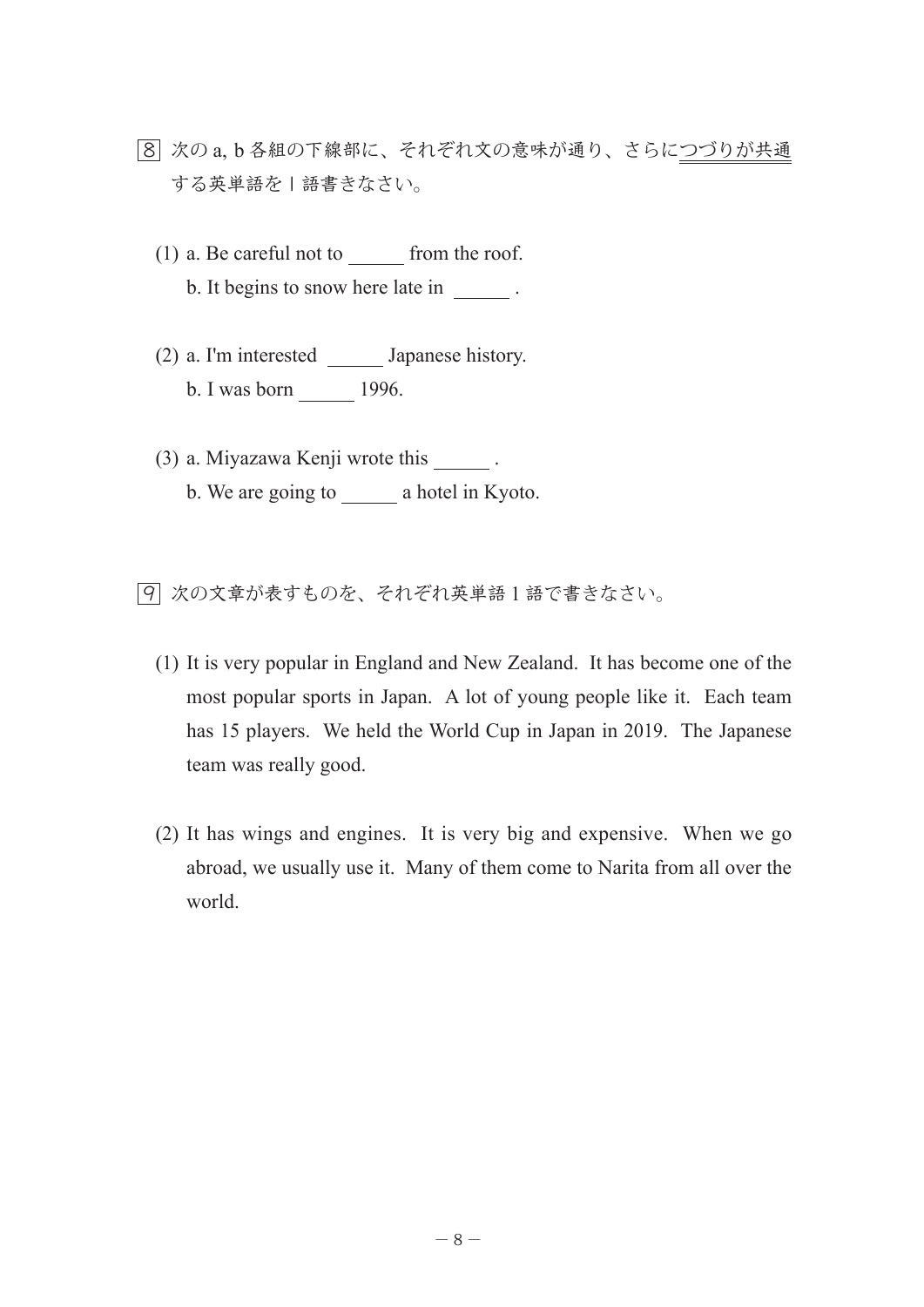- 8 次の a, b 各組の下線部に、それぞれ文の意味が通り、さらにつづりが共通 する英単語を | 語書きなさい。
	- $(1)$  a. Be careful not to from the roof. b. It begins to snow here late in  $\cdot$
	- (2) a. I'm interested Japanese history. b. I was born 1996.
	- (3) a. Miyazawa Kenji wrote this . b. We are going to a hotel in Kyoto.

9 次の文章が表すものを、それぞれ英単語 1 語で書きなさい。

- (1) It is very popular in England and New Zealand. It has become one of the most popular sports in Japan. A lot of young people like it. Each team has 15 players. We held the World Cup in Japan in 2019. The Japanese team was really good.
- (2) It has wings and engines. It is very big and expensive. When we go abroad, we usually use it. Many of them come to Narita from all over the world.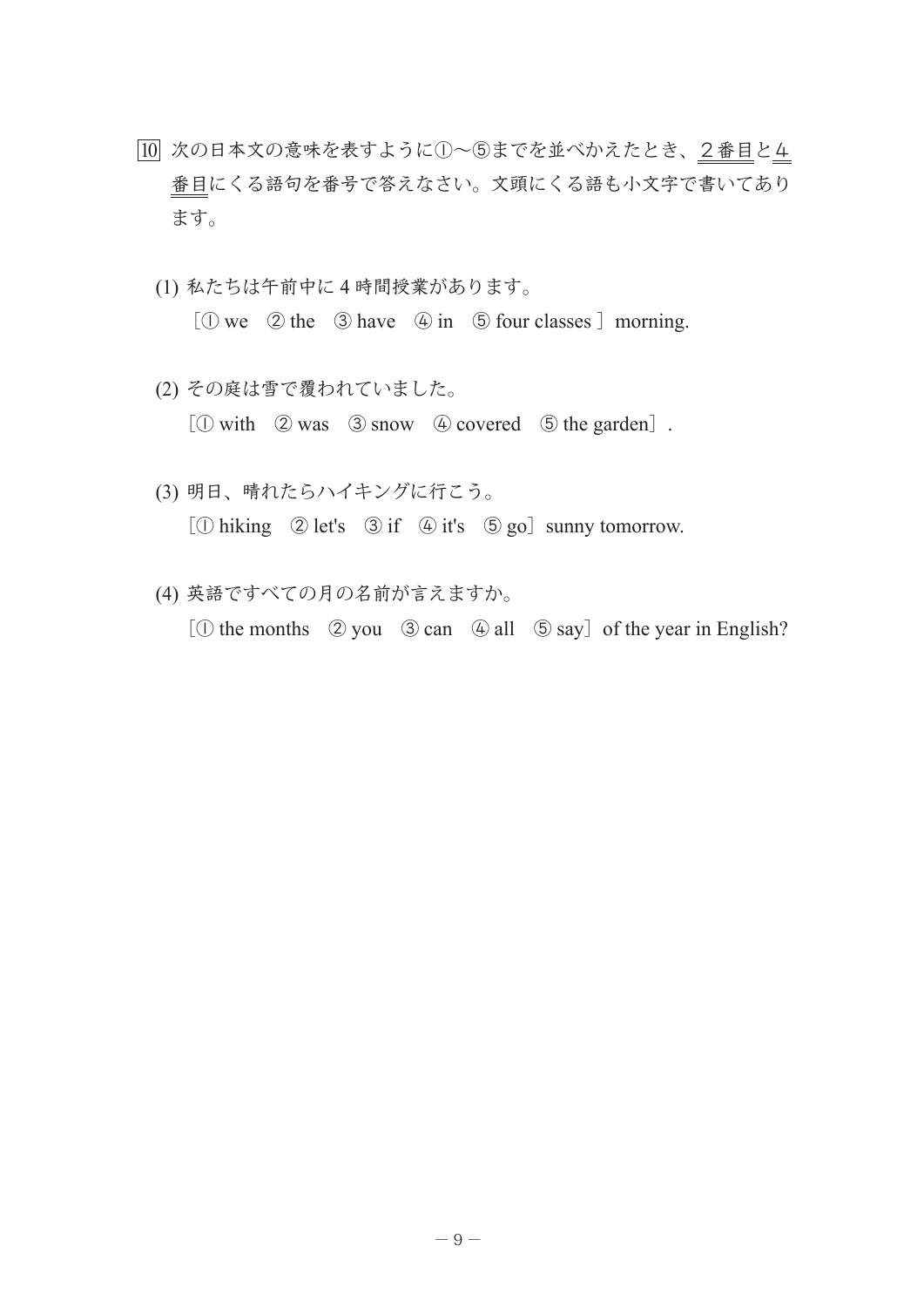- 10 次の日本文の意味を表すように①~⑤までを並べかえたとき、2番目と4 番目にくる語句を番号で答えなさい。文頭にくる語も小文字で書いてあり ます。
	- (1) 私たちは午前中に 4 時間授業があります。

 $[$   $\odot$  we  $\odot$  the  $\odot$  have  $\odot$  in  $\odot$  four classes  $]$  morning.

- (2) その庭は雪で覆われていました。 [① with ② was ③ snow ④ covered ⑤ the garden].
- (3) 明日、晴れたらハイキングに行こう。  $[$  ( $\Diamond$  hiking  $\Diamond$  let's  $\Diamond$  if  $\Diamond$  it's  $\Diamond$  go] sunny tomorrow.
- (4) 英語ですべての月の名前が言えますか。 [① the months ② you ③ can ④ all ⑤ say] of the year in English?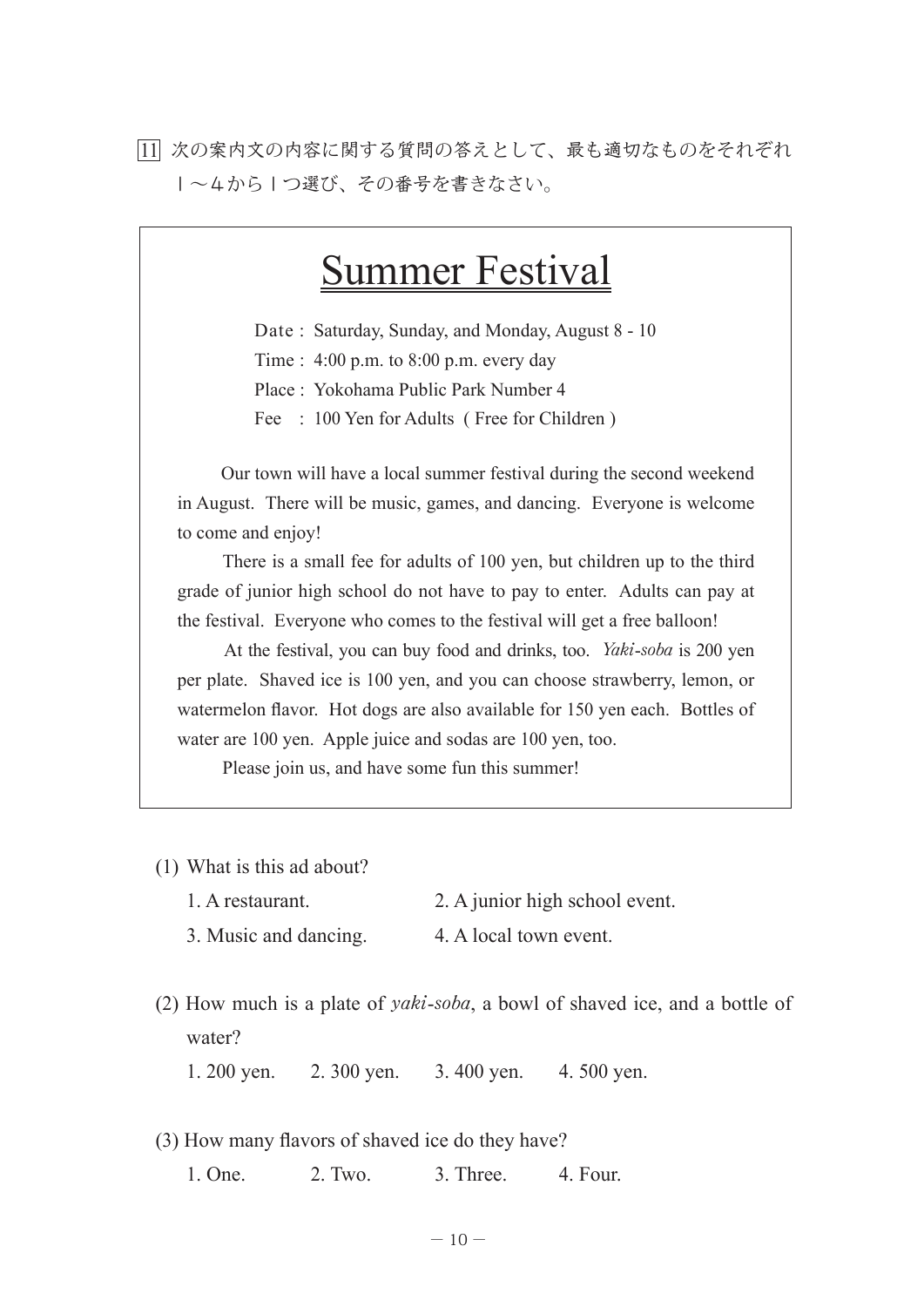11 次の案内文の内容に関する質問の答えとして、最も適切なものをそれぞれ 1~4から1つ選び、その番号を書きなさい。

## Summer Festival

Date : Saturday, Sunday, and Monday, August 8 - 10

Time : 4:00 p.m. to 8:00 p.m. every day

Place : Yokohama Public Park Number 4

Fee : 100 Yen for Adults (Free for Children)

 Our town will have a local summer festival during the second weekend in August. There will be music, games, and dancing. Everyone is welcome to come and enjoy!

 There is a small fee for adults of 100 yen, but children up to the third grade of junior high school do not have to pay to enter. Adults can pay at the festival. Everyone who comes to the festival will get a free balloon!

 At the festival, you can buy food and drinks, too. *Yaki*-*soba* is 200 yen per plate. Shaved ice is 100 yen, and you can choose strawberry, lemon, or watermelon flavor. Hot dogs are also available for 150 yen each. Bottles of water are 100 yen. Apple juice and sodas are 100 yen, too.

Please join us, and have some fun this summer!

- (1) What is this ad about?
	- 1. A restaurant. 2. A junior high school event.

3. Music and dancing. 4. A local town event.

(2) How much is a plate of *yaki*-*soba*, a bowl of shaved ice, and a bottle of water?

1. 200 yen. 2. 300 yen. 3. 400 yen. 4. 500 yen.

(3) How many flavors of shaved ice do they have?

1. One. 2. Two. 3. Three. 4. Four.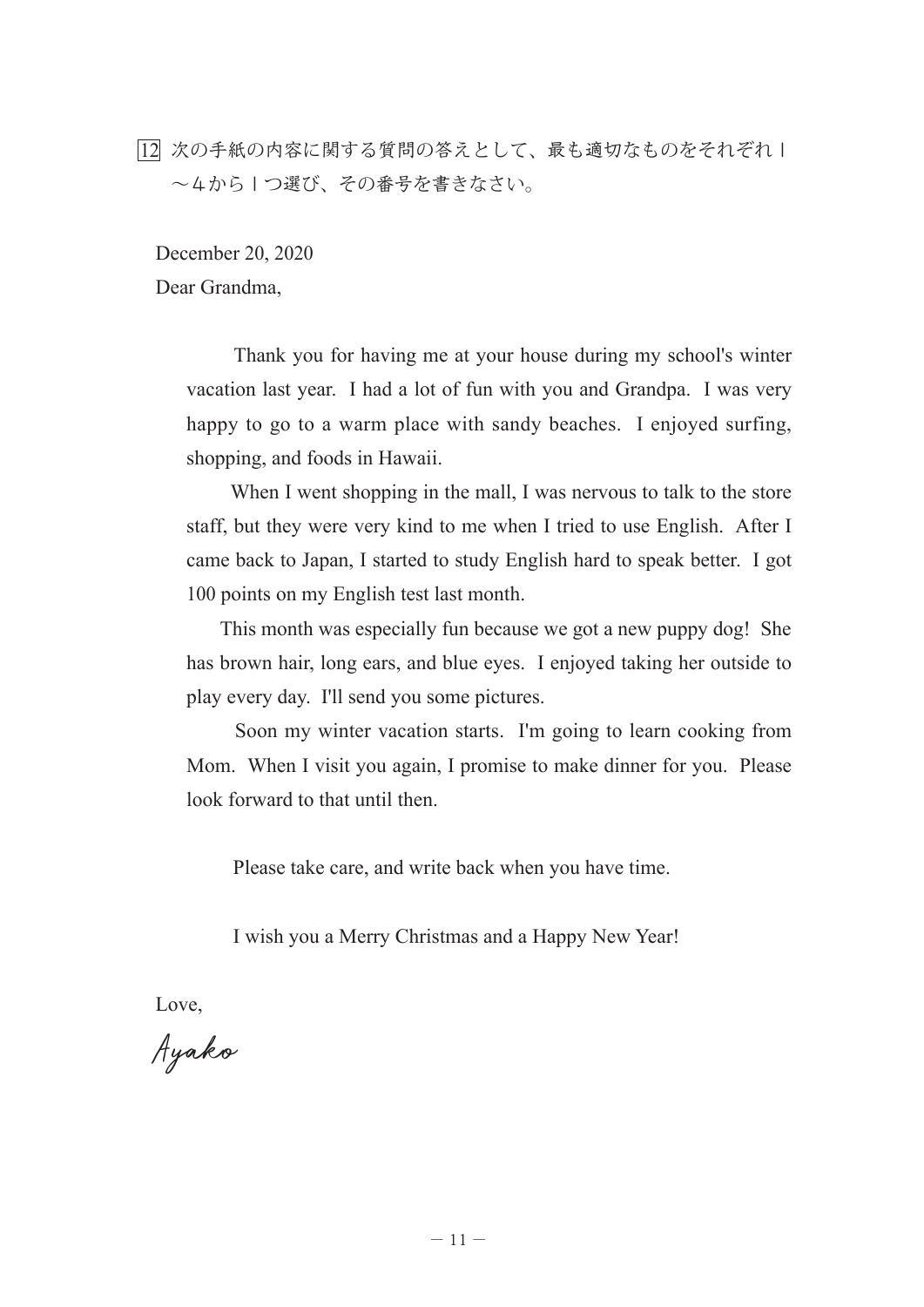12 次の手紙の内容に関する質問の答えとして、最も適切なものをそれぞれ1 ~4から1つ選び、その番号を書きなさい。

December 20, 2020 Dear Grandma,

> Thank you for having me at your house during my school's winter vacation last year. I had a lot of fun with you and Grandpa. I was very happy to go to a warm place with sandy beaches. I enjoyed surfing, shopping, and foods in Hawaii.

> When I went shopping in the mall, I was nervous to talk to the store staff, but they were very kind to me when I tried to use English. After I came back to Japan, I started to study English hard to speak better. I got 100 points on my English test last month.

> This month was especially fun because we got a new puppy dog! She has brown hair, long ears, and blue eyes. I enjoyed taking her outside to play every day. I'll send you some pictures.

> Soon my winter vacation starts. I'm going to learn cooking from Mom. When I visit you again, I promise to make dinner for you. Please look forward to that until then.

Please take care, and write back when you have time.

I wish you a Merry Christmas and a Happy New Year!

Love,

Ayako